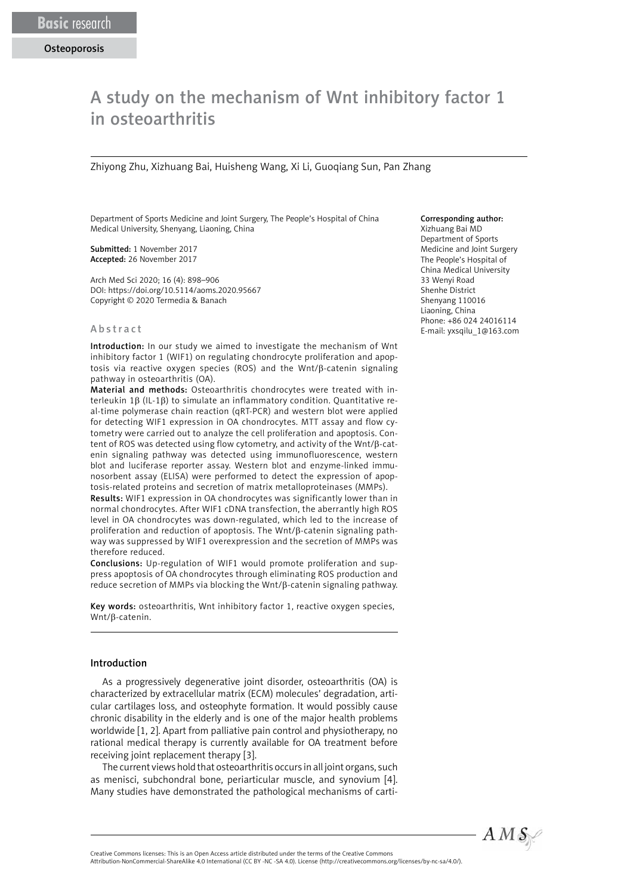# A study on the mechanism of Wnt inhibitory factor 1 in osteoarthritis

Zhiyong Zhu, Xizhuang Bai, Huisheng Wang, Xi Li, Guoqiang Sun, Pan Zhang

Department of Sports Medicine and Joint Surgery, The People's Hospital of China Medical University, Shenyang, Liaoning, China

Submitted: 1 November 2017 Accepted: 26 November 2017

Arch Med Sci 2020; 16 (4): 898–906 DOI: https://doi.org/10.5114/aoms.2020.95667 Copyright © 2020 Termedia & Banach

#### [Abstract](file:///D:/Prace/AMS%20manuscript%20accepted/tekst/2020/javascript:void(0);)

Introduction: In our study we aimed to investigate the mechanism of Wnt inhibitory factor 1 (WIF1) on regulating chondrocyte proliferation and apoptosis via reactive oxygen species (ROS) and the Wnt/β-catenin signaling pathway in osteoarthritis (OA).

Material and methods: Osteoarthritis chondrocytes were treated with interleukin 1β (IL-1β) to simulate an inflammatory condition. Quantitative real-time polymerase chain reaction (qRT-PCR) and western blot were applied for detecting WIF1 expression in OA chondrocytes. MTT assay and flow cytometry were carried out to analyze the cell proliferation and apoptosis. Content of ROS was detected using flow cytometry, and activity of the Wnt/β-catenin signaling pathway was detected using immunofluorescence, western blot and luciferase reporter assay. Western blot and enzyme-linked immunosorbent assay (ELISA) were performed to detect the expression of apoptosis-related proteins and secretion of matrix metalloproteinases (MMPs).

Results: WIF1 expression in OA chondrocytes was significantly lower than in normal chondrocytes. After WIF1 cDNA transfection, the aberrantly high ROS level in OA chondrocytes was down-regulated, which led to the increase of proliferation and reduction of apoptosis. The Wnt/β-catenin signaling pathway was suppressed by WIF1 overexpression and the secretion of MMPs was therefore reduced.

Conclusions: Up-regulation of WIF1 would promote proliferation and suppress apoptosis of OA chondrocytes through eliminating ROS production and reduce secretion of MMPs via blocking the Wnt/β-catenin signaling pathway.

Key words: osteoarthritis, Wnt inhibitory factor 1, reactive oxygen species, Wnt/β-catenin.

#### Introduction

As a progressively degenerative joint disorder, osteoarthritis (OA) is characterized by extracellular matrix (ECM) molecules' degradation, articular cartilages loss, and osteophyte formation. It would possibly cause chronic disability in the elderly and is one of the major health problems worldwide [1, 2]. Apart from palliative pain control and physiotherapy, no rational medical therapy is currently available for OA treatment before receiving joint replacement therapy [3].

The current views hold that osteoarthritis occurs in all joint organs, such as menisci, subchondral bone, periarticular muscle, and synovium [4]. Many studies have demonstrated the pathological mechanisms of carti-

#### Corresponding author:

Xizhuang Bai MD Department of Sports Medicine and Joint Surgery The People's Hospital of China Medical University 33 Wenyi Road Shenhe District Shenyang 110016 Liaoning, China Phone: +86 024 24016114 E-mail: yxsqilu\_1@163.com



Attribution-NonCommercial-ShareAlike 4.0 International (CC BY -NC -SA 4.0). License (http://creativecommons.org/licenses/by-nc-sa/4.0/).

Creative Commons licenses: This is an Open Access article distributed under the terms of the Creative Commons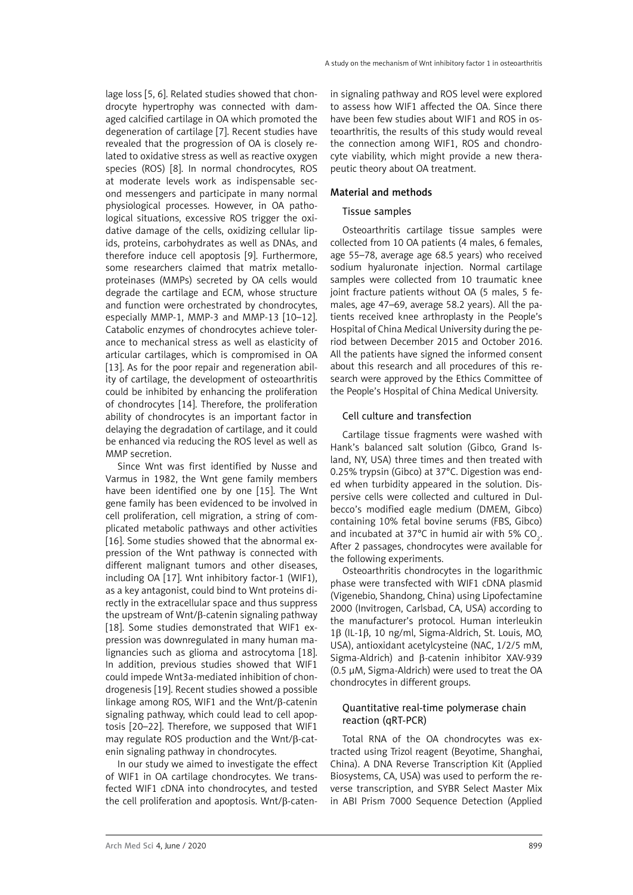lage loss [5, 6]. Related studies showed that chondrocyte hypertrophy was connected with damaged calcified cartilage in OA which promoted the degeneration of cartilage [7]. Recent studies have revealed that the progression of OA is closely related to oxidative stress as well as reactive oxygen species (ROS) [8]. In normal chondrocytes, ROS at moderate levels work as indispensable second messengers and participate in many normal physiological processes. However, in OA pathological situations, excessive ROS trigger the oxidative damage of the cells, oxidizing cellular lipids, proteins, carbohydrates as well as DNAs, and therefore induce cell apoptosis [9]. Furthermore, some researchers claimed that matrix metalloproteinases (MMPs) secreted by OA cells would degrade the cartilage and ECM, whose structure and function were orchestrated by chondrocytes, especially MMP-1, MMP-3 and MMP-13 [10–12]. Catabolic enzymes of chondrocytes achieve tolerance to mechanical stress as well as elasticity of articular cartilages, which is compromised in OA [13]. As for the poor repair and regeneration ability of cartilage, the development of osteoarthritis could be inhibited by enhancing the proliferation of chondrocytes [14]. Therefore, the proliferation ability of chondrocytes is an important factor in delaying the degradation of cartilage, and it could be enhanced via reducing the ROS level as well as MMP secretion.

Since Wnt was first identified by Nusse and Varmus in 1982, the Wnt gene family members have been identified one by one [15]. The Wnt gene family has been evidenced to be involved in cell proliferation, cell migration, a string of complicated metabolic pathways and other activities [16]. Some studies showed that the abnormal expression of the Wnt pathway is connected with different malignant tumors and other diseases, including OA [17]. Wnt inhibitory factor-1 (WIF1), as a key antagonist, could bind to Wnt proteins directly in the extracellular space and thus suppress the upstream of Wnt/β-catenin signaling pathway [18]. Some studies demonstrated that WIF1 expression was downregulated in many human malignancies such as glioma and astrocytoma [18]. In addition, previous studies showed that WIF1 could impede Wnt3a-mediated inhibition of chondrogenesis [19]. Recent studies showed a possible linkage among ROS, WIF1 and the Wnt/β-catenin signaling pathway, which could lead to cell apoptosis [20–22]. Therefore, we supposed that WIF1 may regulate ROS production and the Wnt/β-catenin signaling pathway in chondrocytes.

In our study we aimed to investigate the effect of WIF1 in OA cartilage chondrocytes. We transfected WIF1 cDNA into chondrocytes, and tested the cell proliferation and apoptosis. Wnt/β-catenin signaling pathway and ROS level were explored to assess how WIF1 affected the OA. Since there have been few studies about WIF1 and ROS in osteoarthritis, the results of this study would reveal the connection among WIF1, ROS and chondrocyte viability, which might provide a new therapeutic theory about OA treatment.

#### Material and methods

#### Tissue samples

Osteoarthritis cartilage tissue samples were collected from 10 OA patients (4 males, 6 females, age 55–78, average age 68.5 years) who received sodium hyaluronate injection. Normal cartilage samples were collected from 10 traumatic knee joint fracture patients without OA (5 males, 5 females, age 47–69, average 58.2 years). All the patients received knee arthroplasty in the People's Hospital of China Medical University during the period between December 2015 and October 2016. All the patients have signed the informed consent about this research and all procedures of this research were approved by the Ethics Committee of the People's Hospital of China Medical University.

#### Cell culture and transfection

Cartilage tissue fragments were washed with Hank's balanced salt solution (Gibco, Grand Island, NY, USA) three times and then treated with 0.25% trypsin (Gibco) at 37°C. Digestion was ended when turbidity appeared in the solution. Dispersive cells were collected and cultured in Dulbecco's modified eagle medium (DMEM, Gibco) containing 10% fetal bovine serums (FBS, Gibco) and incubated at 37°C in humid air with 5%  $CO_2$ . After 2 passages, chondrocytes were available for the following experiments.

Osteoarthritis chondrocytes in the logarithmic phase were transfected with WIF1 cDNA plasmid (Vigenebio, Shandong, China) using Lipofectamine 2000 (Invitrogen, Carlsbad, CA, USA) according to the manufacturer's protocol. Human interleukin 1β (IL-1β, 10 ng/ml, Sigma-Aldrich, St. Louis, MO, USA), antioxidant acetylcysteine (NAC, 1/2/5 mM, Sigma-Aldrich) and β-catenin inhibitor XAV-939 (0.5 μM, Sigma-Aldrich) were used to treat the OA chondrocytes in different groups.

## Quantitative real-time polymerase chain reaction (qRT-PCR)

Total RNA of the OA chondrocytes was extracted using Trizol reagent (Beyotime, Shanghai, China). A DNA Reverse Transcription Kit (Applied Biosystems, CA, USA) was used to perform the reverse transcription, and SYBR Select Master Mix in ABI Prism 7000 Sequence Detection (Applied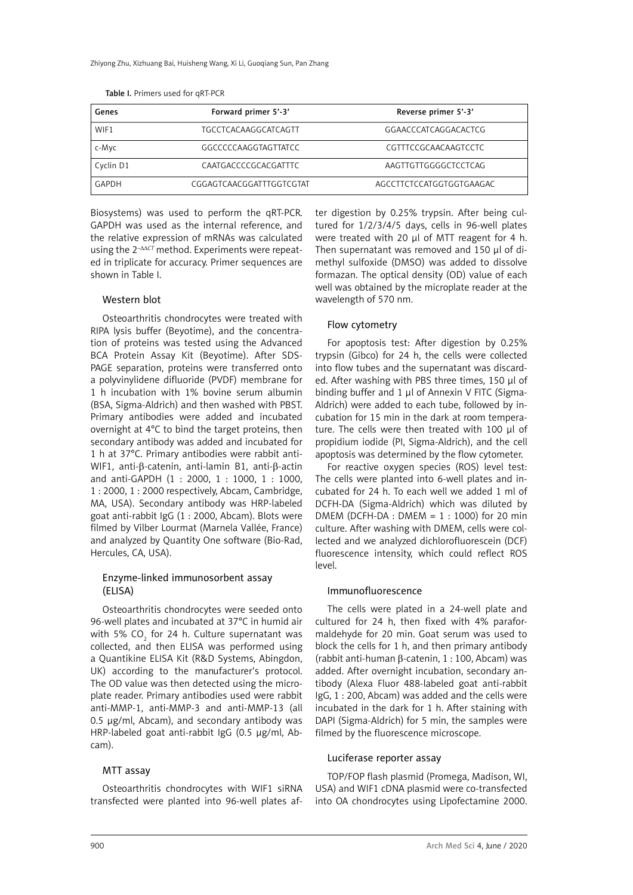| Genes     | Forward primer 5'-3'        | Reverse primer 5'-3'     |
|-----------|-----------------------------|--------------------------|
| WIF1      | <b>TGCCTCACAAGGCATCAGTT</b> | GGAACCCATCAGGACACTCG     |
| c-Myc     | GGCCCCCAAGGTAGTTATCC        | CGTTTCCGCAACAAGTCCTC     |
| Cyclin D1 | CAATGACCCCGCACGATTTC        | AAGTTGTTGGGGCTCCTCAG     |
| GAPDH     | CGGAGTCAACGGATTTGGTCGTAT    | AGCCTTCTCCATGGTGGTGAAGAC |

Table I. Primers used for qRT-PCR

Biosystems) was used to perform the qRT-PCR. GAPDH was used as the internal reference, and the relative expression of mRNAs was calculated using the 2<sup>- $\Delta\Delta$ CT</sup> method. Experiments were repeated in triplicate for accuracy. Primer sequences are shown in Table I.

## Western blot

Osteoarthritis chondrocytes were treated with RIPA lysis buffer (Beyotime), and the concentration of proteins was tested using the Advanced BCA Protein Assay Kit (Beyotime). After SDS-PAGE separation, proteins were transferred onto a polyvinylidene difluoride (PVDF) membrane for 1 h incubation with 1% bovine serum albumin (BSA, Sigma-Aldrich) and then washed with PBST. Primary antibodies were added and incubated overnight at 4°C to bind the target proteins, then secondary antibody was added and incubated for 1 h at 37°C. Primary antibodies were rabbit anti-WIF1, anti-β-catenin, anti-lamin B1, anti-β-actin and anti-GAPDH (1 : 2000, 1 : 1000, 1 : 1000, 1 : 2000, 1 : 2000 respectively, Abcam, Cambridge, MA, USA). Secondary antibody was HRP-labeled goat anti-rabbit IgG (1 : 2000, Abcam). Blots were filmed by Vilber Lourmat (Marnela Vallée, France) and analyzed by Quantity One software (Bio-Rad, Hercules, CA, USA).

## Enzyme-linked immunosorbent assay (ELISA)

Osteoarthritis chondrocytes were seeded onto 96-well plates and incubated at 37°C in humid air with 5% CO $_{\rm _2}$  for 24 h. Culture supernatant was collected, and then ELISA was performed using a Quantikine ELISA Kit (R&D Systems, Abingdon, UK) according to the manufacturer's protocol. The OD value was then detected using the microplate reader. Primary antibodies used were rabbit anti-MMP-1, anti-MMP-3 and anti-MMP-13 (all 0.5 μg/ml, Abcam), and secondary antibody was HRP-labeled goat anti-rabbit IgG (0.5 μg/ml, Abcam).

#### MTT assay

Osteoarthritis chondrocytes with WIF1 siRNA transfected were planted into 96-well plates after digestion by 0.25% trypsin. After being cultured for 1/2/3/4/5 days, cells in 96-well plates were treated with 20 μl of MTT reagent for 4 h. Then supernatant was removed and 150 μl of dimethyl sulfoxide (DMSO) was added to dissolve formazan. The optical density (OD) value of each well was obtained by the microplate reader at the wavelength of 570 nm.

### Flow cytometry

For apoptosis test: After digestion by 0.25% trypsin (Gibco) for 24 h, the cells were collected into flow tubes and the supernatant was discarded. After washing with PBS three times, 150 μl of binding buffer and 1 μl of Annexin V FITC (Sigma-Aldrich) were added to each tube, followed by incubation for 15 min in the dark at room temperature. The cells were then treated with 100 μl of propidium iodide (PI, Sigma-Aldrich), and the cell apoptosis was determined by the flow cytometer.

For reactive oxygen species (ROS) level test: The cells were planted into 6-well plates and incubated for 24 h. To each well we added 1 ml of DCFH-DA (Sigma-Aldrich) which was diluted by DMEM (DCFH-DA : DMEM =  $1:1000$ ) for 20 min culture. After washing with DMEM, cells were collected and we analyzed dichlorofluorescein (DCF) fluorescence intensity, which could reflect ROS level.

#### Immunofluorescence

The cells were plated in a 24-well plate and cultured for 24 h, then fixed with 4% paraformaldehyde for 20 min. Goat serum was used to block the cells for 1 h, and then primary antibody (rabbit anti-human β-catenin, 1 : 100, Abcam) was added. After overnight incubation, secondary antibody (Alexa Fluor 488-labeled goat anti-rabbit IgG, 1 : 200, Abcam) was added and the cells were incubated in the dark for 1 h. After staining with DAPI (Sigma-Aldrich) for 5 min, the samples were filmed by the fluorescence microscope.

#### Luciferase reporter assay

TOP/FOP flash plasmid (Promega, Madison, WI, USA) and WIF1 cDNA plasmid were co-transfected into OA chondrocytes using Lipofectamine 2000.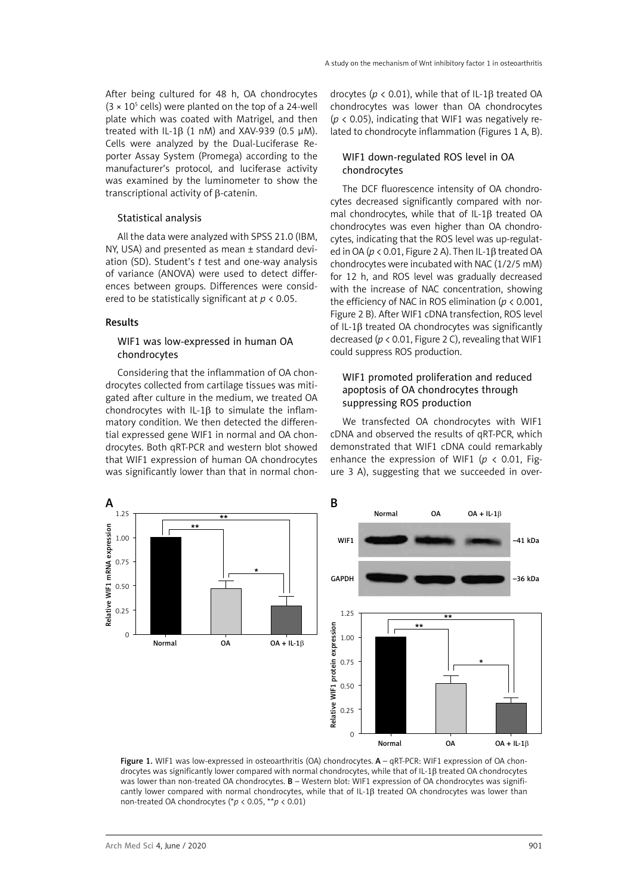After being cultured for 48 h, OA chondrocytes  $(3 \times 10^5 \text{ cells})$  were planted on the top of a 24-well plate which was coated with Matrigel, and then treated with IL-1 $\beta$  (1 nM) and XAV-939 (0.5 µM). Cells were analyzed by the Dual-Luciferase Reporter Assay System (Promega) according to the manufacturer's protocol, and luciferase activity was examined by the luminometer to show the transcriptional activity of β-catenin.

#### Statistical analysis

All the data were analyzed with SPSS 21.0 (IBM, NY, USA) and presented as mean ± standard deviation (SD). Student's *t* test and one-way analysis of variance (ANOVA) were used to detect differences between groups. Differences were considered to be statistically significant at *p* < 0.05.

## Results

## WIF1 was low-expressed in human OA chondrocytes

Considering that the inflammation of OA chondrocytes collected from cartilage tissues was mitigated after culture in the medium, we treated OA chondrocytes with IL-1 $\beta$  to simulate the inflammatory condition. We then detected the differential expressed gene WIF1 in normal and OA chondrocytes. Both qRT-PCR and western blot showed that WIF1 expression of human OA chondrocytes was significantly lower than that in normal chondrocytes (*p* < 0.01), while that of IL-1β treated OA chondrocytes was lower than OA chondrocytes  $(p < 0.05)$ , indicating that WIF1 was negatively related to chondrocyte inflammation (Figures 1 A, B).

## WIF1 down-regulated ROS level in OA chondrocytes

The DCF fluorescence intensity of OA chondrocytes decreased significantly compared with normal chondrocytes, while that of IL-1β treated OA chondrocytes was even higher than OA chondrocytes, indicating that the ROS level was up-regulated in OA (*p* < 0.01, Figure 2 A). Then IL-1β treated OA chondrocytes were incubated with NAC (1/2/5 mM) for 12 h, and ROS level was gradually decreased with the increase of NAC concentration, showing the efficiency of NAC in ROS elimination (*p* < 0.001, Figure 2 B). After WIF1 cDNA transfection, ROS level of IL-1β treated OA chondrocytes was significantly decreased (*p* < 0.01, Figure 2 C), revealing that WIF1 could suppress ROS production.

## WIF1 promoted proliferation and reduced apoptosis of OA chondrocytes through suppressing ROS production

We transfected OA chondrocytes with WIF1 cDNA and observed the results of qRT-PCR, which demonstrated that WIF1 cDNA could remarkably enhance the expression of WIF1 (*p* < 0.01, Figure 3 A), suggesting that we succeeded in over-



Figure 1. WIF1 was low-expressed in osteoarthritis (OA) chondrocytes. A - qRT-PCR: WIF1 expression of OA chondrocytes was significantly lower compared with normal chondrocytes, while that of IL-1β treated OA chondrocytes was lower than non-treated OA chondrocytes. B - Western blot: WIF1 expression of OA chondrocytes was significantly lower compared with normal chondrocytes, while that of IL-1β treated OA chondrocytes was lower than non-treated OA chondrocytes (\**p* < 0.05, \*\**p* < 0.01)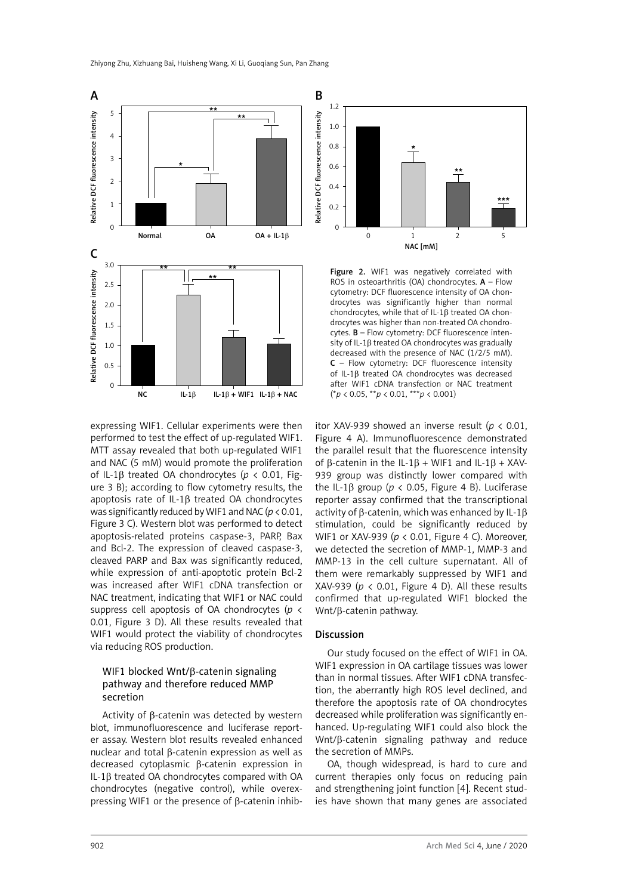

expressing WIF1. Cellular experiments were then performed to test the effect of up-regulated WIF1. MTT assay revealed that both up-regulated WIF1 and NAC (5 mM) would promote the proliferation of IL-1β treated OA chondrocytes (*p* < 0.01, Figure 3 B); according to flow cytometry results, the apoptosis rate of IL-1β treated OA chondrocytes was significantly reduced by WIF1 and NAC (*p* < 0.01, Figure 3 C). Western blot was performed to detect apoptosis-related proteins caspase-3, PARP, Bax and Bcl-2. The expression of cleaved caspase-3, cleaved PARP and Bax was significantly reduced, while expression of anti-apoptotic protein Bcl-2 was increased after WIF1 cDNA transfection or NAC treatment, indicating that WIF1 or NAC could suppress cell apoptosis of OA chondrocytes (*p* < 0.01, Figure 3 D). All these results revealed that WIF1 would protect the viability of chondrocytes via reducing ROS production.

## WIF1 blocked Wnt/β-catenin signaling pathway and therefore reduced MMP secretion

Activity of β-catenin was detected by western blot, immunofluorescence and luciferase reporter assay. Western blot results revealed enhanced nuclear and total β-catenin expression as well as decreased cytoplasmic β-catenin expression in IL-1β treated OA chondrocytes compared with OA chondrocytes (negative control), while overexpressing WIF1 or the presence of β-catenin inhib-



Figure 2. WIF1 was negatively correlated with ROS in osteoarthritis (OA) chondrocytes.  $A - Flow$ cytometry: DCF fluorescence intensity of OA chondrocytes was significantly higher than normal chondrocytes, while that of IL-1β treated OA chondrocytes was higher than non-treated OA chondrocytes. B – Flow cytometry: DCF fluorescence intensity of IL-1β treated OA chondrocytes was gradually decreased with the presence of NAC (1/2/5 mM). C – Flow cytometry: DCF fluorescence intensity of IL-1β treated OA chondrocytes was decreased after WIF1 cDNA transfection or NAC treatment (\**p* < 0.05, \*\**p* < 0.01, \*\*\**p* < 0.001)

itor XAV-939 showed an inverse result (*p* < 0.01, Figure 4 A). Immunofluorescence demonstrated the parallel result that the fluorescence intensity of β-catenin in the IL-1β + WIF1 and IL-1β + XAV-939 group was distinctly lower compared with the IL-1β group ( $p$  < 0.05, Figure 4 B). Luciferase reporter assay confirmed that the transcriptional activity of β-catenin, which was enhanced by IL-1β stimulation, could be significantly reduced by WIF1 or XAV-939 (*p* < 0.01, Figure 4 C). Moreover, we detected the secretion of MMP-1, MMP-3 and MMP-13 in the cell culture supernatant. All of them were remarkably suppressed by WIF1 and XAV-939 ( $p < 0.01$ , Figure 4 D). All these results confirmed that up-regulated WIF1 blocked the Wnt/β-catenin pathway.

#### Discussion

Our study focused on the effect of WIF1 in OA. WIF1 expression in OA cartilage tissues was lower than in normal tissues. After WIF1 cDNA transfection, the aberrantly high ROS level declined, and therefore the apoptosis rate of OA chondrocytes decreased while proliferation was significantly enhanced. Up-regulating WIF1 could also block the Wnt/β-catenin signaling pathway and reduce the secretion of MMPs.

OA, though widespread, is hard to cure and current therapies only focus on reducing pain and strengthening joint function [4]. Recent studies have shown that many genes are associated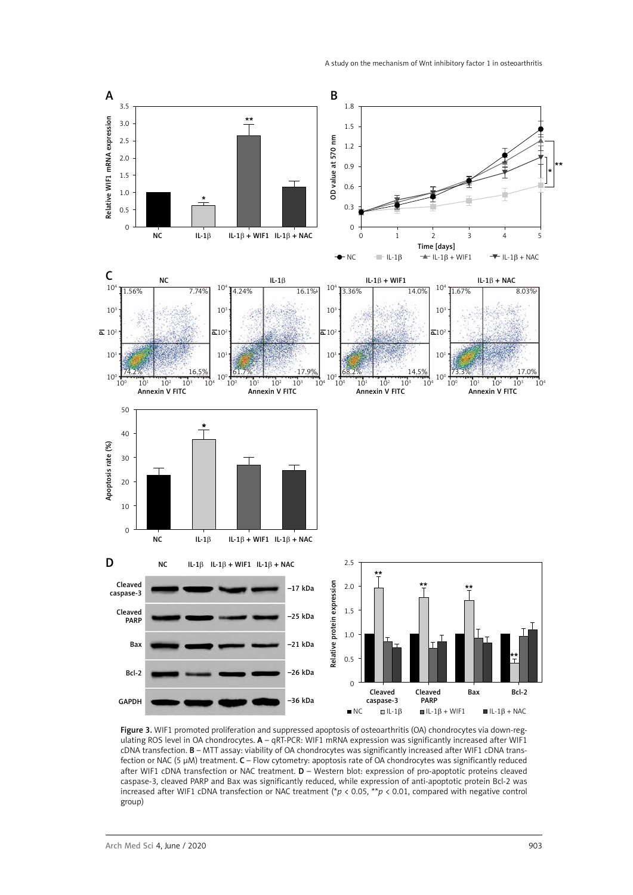

Figure 3. WIF1 promoted proliferation and suppressed apoptosis of osteoarthritis (OA) chondrocytes via down-regulating ROS level in OA chondrocytes. A – qRT-PCR: WIF1 mRNA expression was significantly increased after WIF1 cDNA transfection. B – MTT assay: viability of OA chondrocytes was significantly increased after WIF1 cDNA transfection or NAC (5 μM) treatment. C – Flow cytometry: apoptosis rate of OA chondrocytes was significantly reduced after WIF1 cDNA transfection or NAC treatment. D – Western blot: expression of pro-apoptotic proteins cleaved caspase-3, cleaved PARP and Bax was significantly reduced, while expression of anti-apoptotic protein Bcl-2 was increased after WIF1 cDNA transfection or NAC treatment (\**p* < 0.05, \*\**p* < 0.01, compared with negative control group)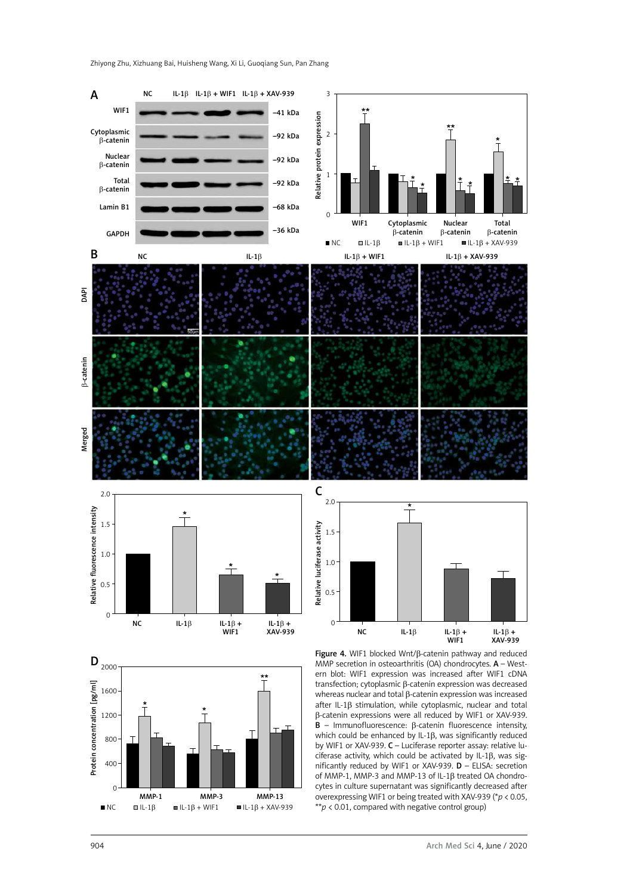Zhiyong Zhu, Xizhuang Bai, Huisheng Wang, Xi Li, Guoqiang Sun, Pan Zhang

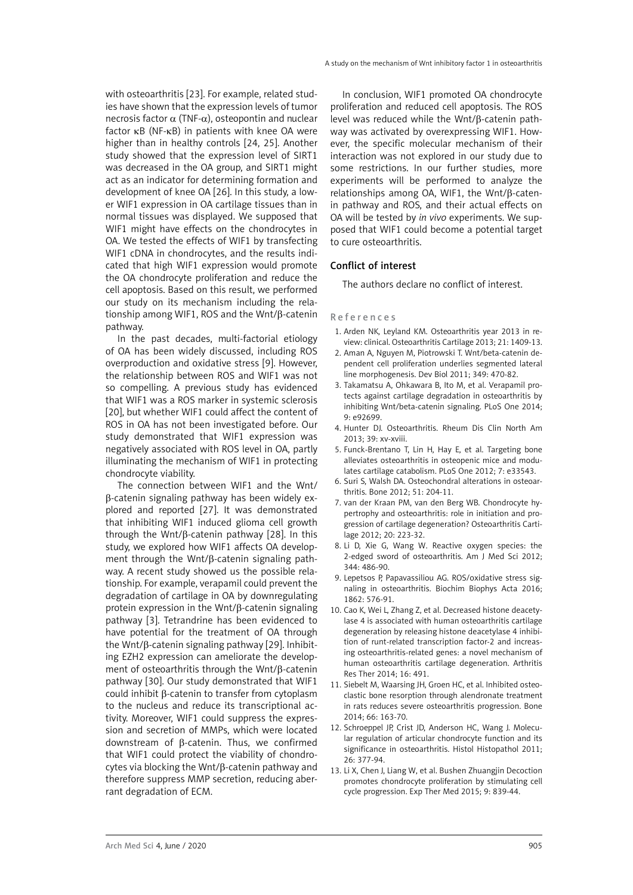with osteoarthritis [23]. For example, related studies have shown that the expression levels of tumor necrosis factor  $\alpha$  (TNF- $\alpha$ ), osteopontin and nuclear factor κB (NF-κB) in patients with knee OA were higher than in healthy controls [24, 25]. Another study showed that the expression level of SIRT1 was decreased in the OA group, and SIRT1 might act as an indicator for determining formation and development of knee OA [26]. In this study, a lower WIF1 expression in OA cartilage tissues than in normal tissues was displayed. We supposed that WIF1 might have effects on the chondrocytes in OA. We tested the effects of WIF1 by transfecting WIF1 cDNA in chondrocytes, and the results indicated that high WIF1 expression would promote the OA chondrocyte proliferation and reduce the cell apoptosis. Based on this result, we performed our study on its mechanism including the relationship among WIF1, ROS and the Wnt/β-catenin pathway.

In the past decades, multi-factorial etiology of OA has been widely discussed, including ROS overproduction and oxidative stress [9]. However, the relationship between ROS and WIF1 was not so compelling. A previous study has evidenced that WIF1 was a ROS marker in systemic sclerosis [20], but whether WIF1 could affect the content of ROS in OA has not been investigated before. Our study demonstrated that WIF1 expression was negatively associated with ROS level in OA, partly illuminating the mechanism of WIF1 in protecting chondrocyte viability.

The connection between WIF1 and the Wnt/ β-catenin signaling pathway has been widely explored and reported [27]. It was demonstrated that inhibiting WIF1 induced glioma cell growth through the Wnt/β-catenin pathway [28]. In this study, we explored how WIF1 affects OA development through the Wnt/β-catenin signaling pathway. A recent study showed us the possible relationship. For example, verapamil could prevent the degradation of cartilage in OA by downregulating protein expression in the Wnt/β-catenin signaling pathway [3]. Tetrandrine has been evidenced to have potential for the treatment of OA through the Wnt/β-catenin signaling pathway [29]. Inhibiting EZH2 expression can ameliorate the development of osteoarthritis through the Wnt/β-catenin pathway [30]. Our study demonstrated that WIF1 could inhibit β-catenin to transfer from cytoplasm to the nucleus and reduce its transcriptional activity. Moreover, WIF1 could suppress the expression and secretion of MMPs, which were located downstream of β-catenin. Thus, we confirmed that WIF1 could protect the viability of chondrocytes via blocking the Wnt/β-catenin pathway and therefore suppress MMP secretion, reducing aberrant degradation of ECM.

In conclusion, WIF1 promoted OA chondrocyte proliferation and reduced cell apoptosis. The ROS level was reduced while the Wnt/β-catenin pathway was activated by overexpressing WIF1. However, the specific molecular mechanism of their interaction was not explored in our study due to some restrictions. In our further studies, more experiments will be performed to analyze the relationships among OA, WIF1, the Wnt/β-catenin pathway and ROS, and their actual effects on OA will be tested by *in vivo* experiments. We supposed that WIF1 could become a potential target to cure osteoarthritis.

## Conflict of interest

The authors declare no conflict of interest.

#### References

- 1. Arden NK, Leyland KM. Osteoarthritis year 2013 in review: clinical. Osteoarthritis Cartilage 2013; 21: 1409-13.
- 2. Aman A, Nguyen M, Piotrowski T. Wnt/beta-catenin dependent cell proliferation underlies segmented lateral line morphogenesis. Dev Biol 2011; 349: 470-82.
- 3. Takamatsu A, Ohkawara B, Ito M, et al. Verapamil protects against cartilage degradation in osteoarthritis by inhibiting Wnt/beta-catenin signaling. PLoS One 2014; 9: e92699.
- 4. Hunter DJ. Osteoarthritis. Rheum Dis Clin North Am 2013; 39: xv-xviii.
- 5. Funck-Brentano T, Lin H, Hay E, et al. Targeting bone alleviates osteoarthritis in osteopenic mice and modulates cartilage catabolism. PLoS One 2012; 7: e33543.
- 6. Suri S, Walsh DA. Osteochondral alterations in osteoarthritis. Bone 2012; 51: 204-11.
- 7. van der Kraan PM, van den Berg WB. Chondrocyte hypertrophy and osteoarthritis: role in initiation and progression of cartilage degeneration? Osteoarthritis Cartilage 2012; 20: 223-32.
- 8. Li D, Xie G, Wang W. Reactive oxygen species: the 2-edged sword of osteoarthritis. Am J Med Sci 2012; 344: 486-90.
- 9. Lepetsos P, Papavassiliou AG. ROS/oxidative stress signaling in osteoarthritis. Biochim Biophys Acta 2016; 1862: 576-91.
- 10. Cao K, Wei L, Zhang Z, et al. Decreased histone deacetylase 4 is associated with human osteoarthritis cartilage degeneration by releasing histone deacetylase 4 inhibition of runt-related transcription factor-2 and increasing osteoarthritis-related genes: a novel mechanism of human osteoarthritis cartilage degeneration. Arthritis Res Ther 2014; 16: 491.
- 11. Siebelt M, Waarsing JH, Groen HC, et al. Inhibited osteoclastic bone resorption through alendronate treatment in rats reduces severe osteoarthritis progression. Bone 2014; 66: 163-70.
- 12. Schroeppel JP, Crist JD, Anderson HC, Wang J. Molecular regulation of articular chondrocyte function and its significance in osteoarthritis. Histol Histopathol 2011; 26: 377-94.
- 13. Li X, Chen J, Liang W, et al. Bushen Zhuangjin Decoction promotes chondrocyte proliferation by stimulating cell cycle progression. Exp Ther Med 2015; 9: 839-44.